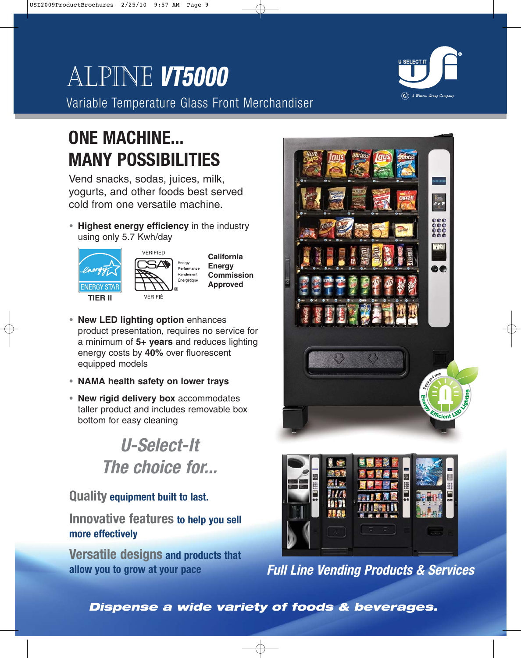# Alpine **VT5000**

Variable Temperature Glass Front Merchandiser

# **ONE MACHINE... MANY POSSIBILITIES**

Vend snacks, sodas, juices, milk, yogurts, and other foods best served cold from one versatile machine.

**• Highest energy efficiency** in the industry using only 5.7 Kwh/day



- **• New LED lighting option** enhances product presentation, requires no service for a minimum of **5+ years** and reduces lighting energy costs by **40%** over fluorescent equipped models
- **• NAMA health safety on lower trays**
- **• New rigid delivery box** accommodates taller product and includes removable box bottom for easy cleaning

# **U-Select-It The choice for...**

# **Quality equipment built to last.**

**Innovative features to help you sell more effectively**

**Versatile designs and products that allow you to grow at your pace**





**Full Line Vending Products & Services**

**Dispense a wide variety of foods & beverages.**

 $\left(\!\!\!\begin{array}{c}\bigotimes\! \bigtriangleup\! \end{array}\!\!\!\right)$  A Wittern Group Company